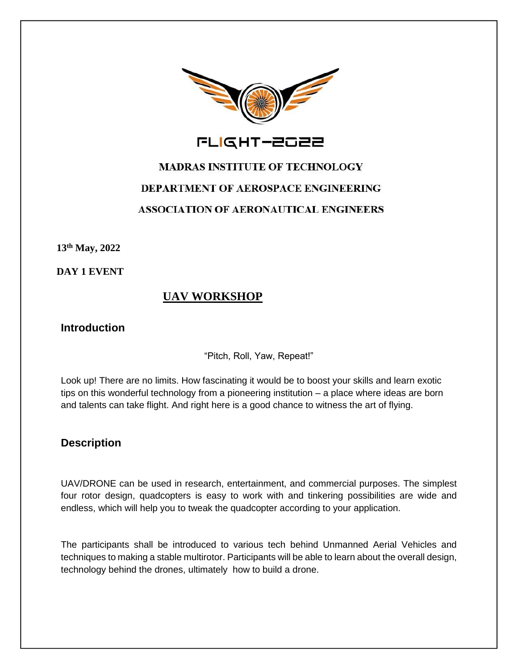

FLIGHT-2022

# **MADRAS INSTITUTE OF TECHNOLOGY** DEPARTMENT OF AEROSPACE ENGINEERING **ASSOCIATION OF AERONAUTICAL ENGINEERS**

**13th May, 2022**

**DAY 1 EVENT**

## **UAV WORKSHOP**

#### **Introduction**

"Pitch, Roll, Yaw, Repeat!"

Look up! There are no limits. How fascinating it would be to boost your skills and learn exotic tips on this wonderful technology from a pioneering institution – a place where ideas are born and talents can take flight. And right here is a good chance to witness the art of flying.

#### **Description**

UAV/DRONE can be used in research, entertainment, and commercial purposes. The simplest four rotor design, quadcopters is easy to work with and tinkering possibilities are wide and endless, which will help you to tweak the quadcopter according to your application.

The participants shall be introduced to various tech behind Unmanned Aerial Vehicles and techniques to making a stable multirotor. Participants will be able to learn about the overall design, technology behind the drones, ultimately how to build a drone.